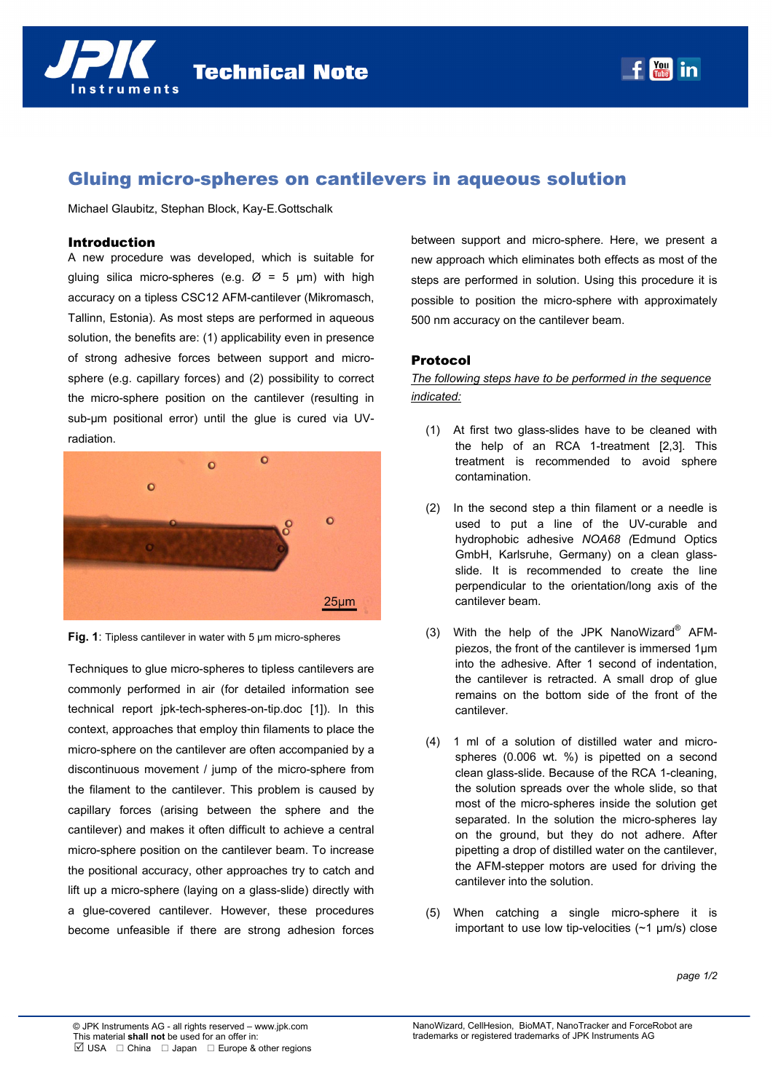



# Gluing micro-spheres on cantilevers in aqueous solution

Michael Glaubitz, Stephan Block, Kay-E.Gottschalk

#### Introduction

A new procedure was developed, which is suitable for gluing silica micro-spheres (e.g.  $\varnothing$  = 5 µm) with high accuracy on a tipless CSC12 AFM-cantilever (Mikromasch, Tallinn, Estonia). As most steps are performed in aqueous solution, the benefits are: (1) applicability even in presence of strong adhesive forces between support and microsphere (e.g. capillary forces) and (2) possibility to correct the micro-sphere position on the cantilever (resulting in sub-µm positional error) until the glue is cured via UVradiation.



**Fig. 1:** Tipless cantilever in water with 5 um micro-spheres

Techniques to glue micro-spheres to tipless cantilevers are commonly performed in air (for detailed information see technical report jpk-tech-spheres-on-tip.doc [1]). In this context, approaches that employ thin filaments to place the micro-sphere on the cantilever are often accompanied by a discontinuous movement / jump of the micro-sphere from the filament to the cantilever. This problem is caused by capillary forces (arising between the sphere and the cantilever) and makes it often difficult to achieve a central micro-sphere position on the cantilever beam. To increase the positional accuracy, other approaches try to catch and lift up a micro-sphere (laying on a glass-slide) directly with a glue-covered cantilever. However, these procedures become unfeasible if there are strong adhesion forces between support and micro-sphere. Here, we present a new approach which eliminates both effects as most of the steps are performed in solution. Using this procedure it is possible to position the micro-sphere with approximately 500 nm accuracy on the cantilever beam.

## Protocol

*The following steps have to be performed in the sequence indicated:*

- (1) At first two glass-slides have to be cleaned with the help of an RCA 1-treatment [2,3]. This treatment is recommended to avoid sphere contamination.
- (2) In the second step a thin filament or a needle is used to put a line of the UV-curable and hydrophobic adhesive *NOA68 (*Edmund Optics GmbH, Karlsruhe, Germany) on a clean glassslide. It is recommended to create the line perpendicular to the orientation/long axis of the cantilever beam.
- (3) With the help of the JPK NanoWizard<sup>®</sup> AFMpiezos, the front of the cantilever is immersed 1µm into the adhesive. After 1 second of indentation, the cantilever is retracted. A small drop of glue remains on the bottom side of the front of the cantilever.
- (4) 1 ml of a solution of distilled water and microspheres (0.006 wt. %) is pipetted on a second clean glass-slide. Because of the RCA 1-cleaning, the solution spreads over the whole slide, so that most of the micro-spheres inside the solution get separated. In the solution the micro-spheres lay on the ground, but they do not adhere. After pipetting a drop of distilled water on the cantilever, the AFM-stepper motors are used for driving the cantilever into the solution.
- (5) When catching a single micro-sphere it is important to use low tip-velocities  $(\sim 1 \text{ µm/s})$  close